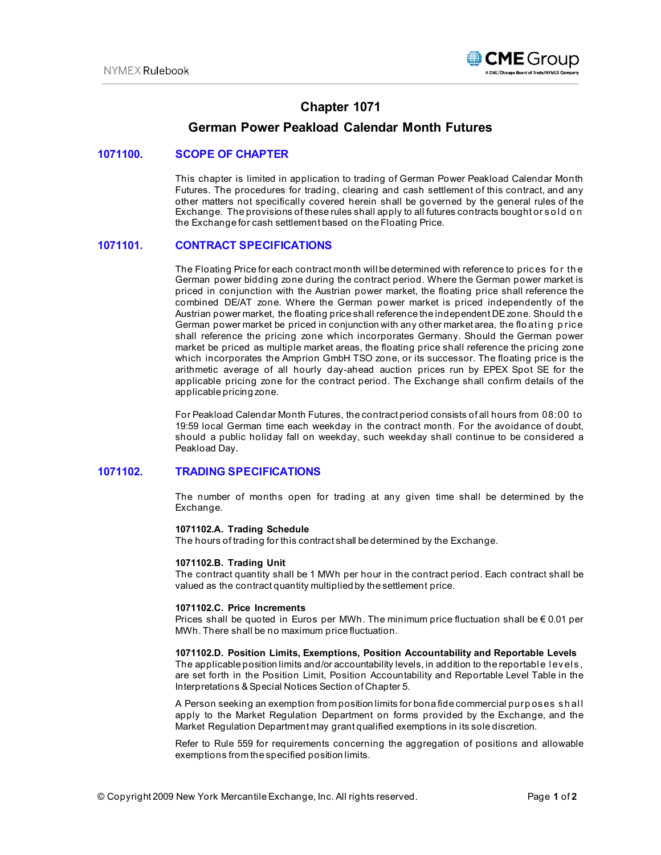

# **Chapter 1071**

# **German Power Peakload Calendar Month Futures**

## **1071100. SCOPE OF CHAPTER**

This chapter is limited in application to trading of German Power Peakload Calendar Month Futures. The procedures for trading, clearing and cash settlement of this contract, and any other matters not specifically covered herein shall be governed by the general rules of the Exchange. The provisions of these rules shall apply to all futures contracts bought or sold on the Exchange for cash settlement based on the Floating Price.

## **1071101. CONTRACT SPECIFICATIONS**

The Floating Price for each contract month will be determined with reference to prices for the German power bidding zone during the contract period. Where the German power market is priced in conjunction with the Austrian power market, the floating price shall reference the combined DE/AT zone. Where the German power market is priced independently of the Austrian power market, the floating price shall reference the independent DE zone. Should th e German power market be priced in conjunction with any other market area, the floating price shall reference the pricing zone which incorporates Germany. Should the German power market be priced as multiple market areas, the floating price shall reference the pricing zone which incorporates the Amprion GmbH TSO zone, or its successor. The floating price is the arithmetic average of all hourly day-ahead auction prices run by EPEX Spot SE for the applicable pricing zone for the contract period. The Exchange shall confirm details of the applicable pricing zone.

For Peakload Calendar Month Futures, the contract period consists of all hours from 08:00 to 19:59 local German time each weekday in the contract month. For the avoidance of doubt, should a public holiday fall on weekday, such weekday shall continue to be considered a Peakload Day.

## **1071102. TRADING SPECIFICATIONS**

The number of months open for trading at any given time shall be determined by the Exchange.

#### **1071102.A. Trading Schedule**

The hours of trading for this contract shall be determined by the Exchange.

#### **1071102.B. Trading Unit**

The contract quantity shall be 1 MWh per hour in the contract period. Each contract shall be valued as the contract quantity multiplied by the settlement price.

#### **1071102.C. Price Increments**

Prices shall be quoted in Euros per MWh. The minimum price fluctuation shall be  $\epsilon$  0.01 per MWh. There shall be no maximum price fluctuation.

#### **1071102.D. Position Limits, Exemptions, Position Accountability and Reportable Levels**

The applicable position limits and/or accountability levels, in addition to the reportable levels, are set forth in the Position Limit, Position Accountability and Reportable Level Table in the Interpretations & Special Notices Section of Chapter 5.

A Person seeking an exemption from position limits for bona fide commercial purp oses sh al l apply to the Market Regulation Department on forms provided by the Exchange, and the Market Regulation Department may grant qualified exemptions in its sole discretion.

Refer to Rule 559 for requirements concerning the aggregation of positions and allowable exemptions from the specified position limits.